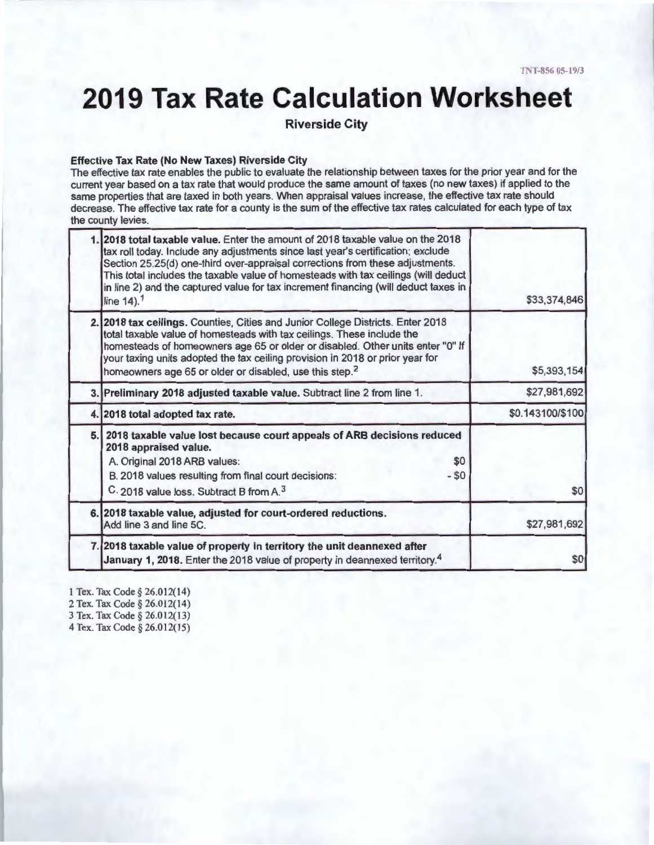# **2019 Tax Rate Calculation Worksheet**

**Riverside City** 

#### **Effective Tax Rate (No New Taxes) Riverside City**

The effective tax rate enables the public to evaluate the relationship between taxes for the prior year and for the current year based on a tax rate that would produce the same amount of taxes (no new taxes) if applied to the same properties that are taxed in both years. When appraisal values increase, the effective tax rate should decrease. The effective tax rate for a county is the sum of the effective tax rates calculated for each type of tax the county levies.

|    | 2018 total taxable value. Enter the amount of 2018 taxable value on the 2018<br>tax roll today. Include any adjustments since last year's certification; exclude<br>Section 25.25(d) one-third over-appraisal corrections from these adjustments.<br>This total includes the taxable value of homesteads with tax ceilings (will deduct<br>in line 2) and the captured value for tax increment financing (will deduct taxes in<br>line 14). <sup>1</sup> | \$33,374,846     |
|----|----------------------------------------------------------------------------------------------------------------------------------------------------------------------------------------------------------------------------------------------------------------------------------------------------------------------------------------------------------------------------------------------------------------------------------------------------------|------------------|
|    | 2. 2018 tax ceilings. Counties, Cities and Junior College Districts. Enter 2018<br>total taxable value of homesteads with tax ceilings. These include the<br>homesteads of homeowners age 65 or older or disabled. Other units enter "0" If<br>your taxing units adopted the tax ceiling provision in 2018 or prior year for<br>homeowners age 65 or older or disabled, use this step. <sup>2</sup>                                                      | \$5,393,154      |
|    | 3. Preliminary 2018 adjusted taxable value. Subtract line 2 from line 1.                                                                                                                                                                                                                                                                                                                                                                                 | \$27,981,692     |
|    | 4. 2018 total adopted tax rate.                                                                                                                                                                                                                                                                                                                                                                                                                          | \$0.143100/\$100 |
| 5. | 2018 taxable value lost because court appeals of ARB decisions reduced<br>2018 appraised value.<br>A. Original 2018 ARB values:<br>\$0<br>B. 2018 values resulting from final court decisions:<br>$-50$<br>C. 2018 value loss. Subtract B from A. <sup>3</sup>                                                                                                                                                                                           | \$0              |
|    | 6. 2018 taxable value, adjusted for court-ordered reductions.<br>Add line 3 and line 5C.                                                                                                                                                                                                                                                                                                                                                                 | \$27,981,692     |
|    | 7. 2018 taxable value of property in territory the unit deannexed after<br>January 1, 2018. Enter the 2018 value of property in deannexed territory. <sup>4</sup>                                                                                                                                                                                                                                                                                        | \$0              |

1 Tex. Tax Code § 26.012(14)

2 Tex. Tax Code § 26.012(14)

3 Tex. Tax Code § 26.012(13)

4 Tex. Tax Code § 26.012(15)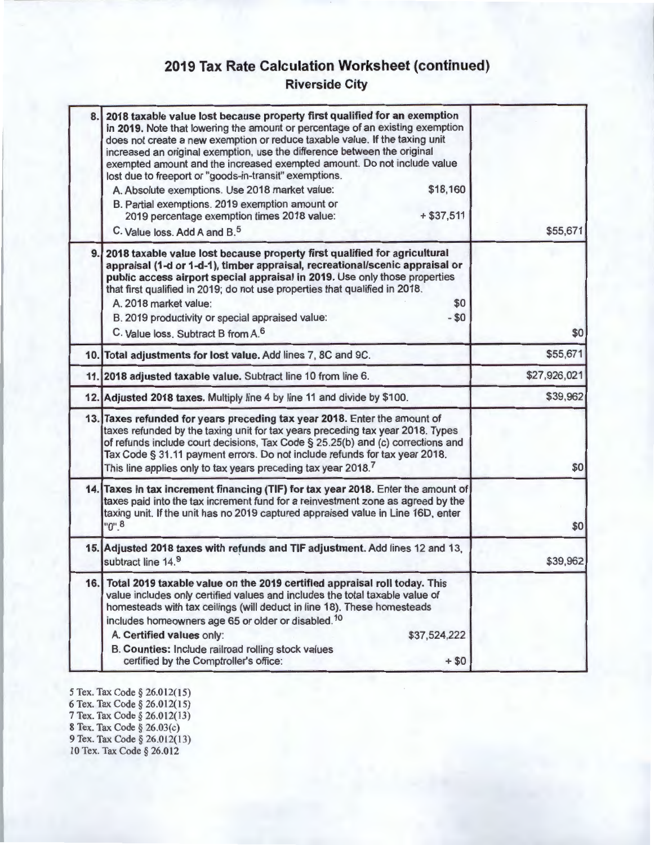### **2019 Tax Rate Calculation Worksheet (continued)**

**Riverside City** 

| 8.1 | 2018 taxable value lost because property first qualified for an exemption<br>in 2019. Note that lowering the amount or percentage of an existing exemption<br>does not create a new exemption or reduce taxable value. If the taxing unit<br>increased an original exemption, use the difference between the original<br>exempted amount and the increased exempted amount. Do not include value<br>lost due to freeport or "goods-in-transit" exemptions.<br>\$18,160<br>A. Absolute exemptions. Use 2018 market value:<br>B. Partial exemptions. 2019 exemption amount or<br>$+ $37,511$<br>2019 percentage exemption times 2018 value:<br>C. Value loss. Add A and B. <sup>5</sup> | \$55,671     |
|-----|---------------------------------------------------------------------------------------------------------------------------------------------------------------------------------------------------------------------------------------------------------------------------------------------------------------------------------------------------------------------------------------------------------------------------------------------------------------------------------------------------------------------------------------------------------------------------------------------------------------------------------------------------------------------------------------|--------------|
| 9.1 | 2018 taxable value lost because property first qualified for agricultural<br>appraisal (1-d or 1-d-1), timber appraisal, recreational/scenic appraisal or<br>public access airport special appraisal in 2019. Use only those properties<br>that first qualified in 2019; do not use properties that qualified in 2018.<br>A. 2018 market value:<br>\$0<br>$- $0$<br>B. 2019 productivity or special appraised value:<br>C. Value loss. Subtract B from A. <sup>6</sup>                                                                                                                                                                                                                | \$0          |
|     | 10. Total adjustments for lost value. Add lines 7, 8C and 9C.                                                                                                                                                                                                                                                                                                                                                                                                                                                                                                                                                                                                                         | \$55,671     |
|     | 11. 2018 adjusted taxable value. Subtract line 10 from line 6.                                                                                                                                                                                                                                                                                                                                                                                                                                                                                                                                                                                                                        | \$27,926,021 |
|     | 12. Adjusted 2018 taxes. Multiply line 4 by line 11 and divide by \$100.                                                                                                                                                                                                                                                                                                                                                                                                                                                                                                                                                                                                              | \$39,962     |
|     | 13. Taxes refunded for years preceding tax year 2018. Enter the amount of<br>taxes refunded by the taxing unit for tax years preceding tax year 2018. Types<br>of refunds include court decisions, Tax Code § 25.25(b) and (c) corrections and<br>Tax Code § 31.11 payment errors. Do not include refunds for tax year 2018.<br>This line applies only to tax years preceding tax year 2018.7                                                                                                                                                                                                                                                                                         | \$0          |
|     | 14. Taxes in tax increment financing (TIF) for tax year 2018. Enter the amount of<br>taxes paid into the tax increment fund for a reinvestment zone as agreed by the<br>taxing unit. If the unit has no 2019 captured appraised value in Line 16D, enter<br>$"0"$ .8                                                                                                                                                                                                                                                                                                                                                                                                                  | \$0          |
|     | 15. Adjusted 2018 taxes with refunds and TIF adjustment. Add lines 12 and 13,<br>subtract line 14.9                                                                                                                                                                                                                                                                                                                                                                                                                                                                                                                                                                                   | \$39,962     |
|     | 16. Total 2019 taxable value on the 2019 certified appraisal roll today. This<br>value includes only certified values and includes the total taxable value of<br>homesteads with tax ceilings (will deduct in line 18). These homesteads<br>includes homeowners age 65 or older or disabled. <sup>10</sup><br>\$37,524,222<br>A. Certified values only:<br>B. Counties: Include railroad rolling stock values<br>$+ $0$<br>certified by the Comptroller's office:                                                                                                                                                                                                                     |              |

*5* Tex. Tax Code§ 26.012(15) 6 Tex. Tax Code§ 26.012(15) 7 Tex. Tax Code§ 26.012(13) 8 Tex. Tax Code§ 26.03(c) 9 Tex. Tax Code§ 26.012(13)

10 Tex. Tax Code§ 26.012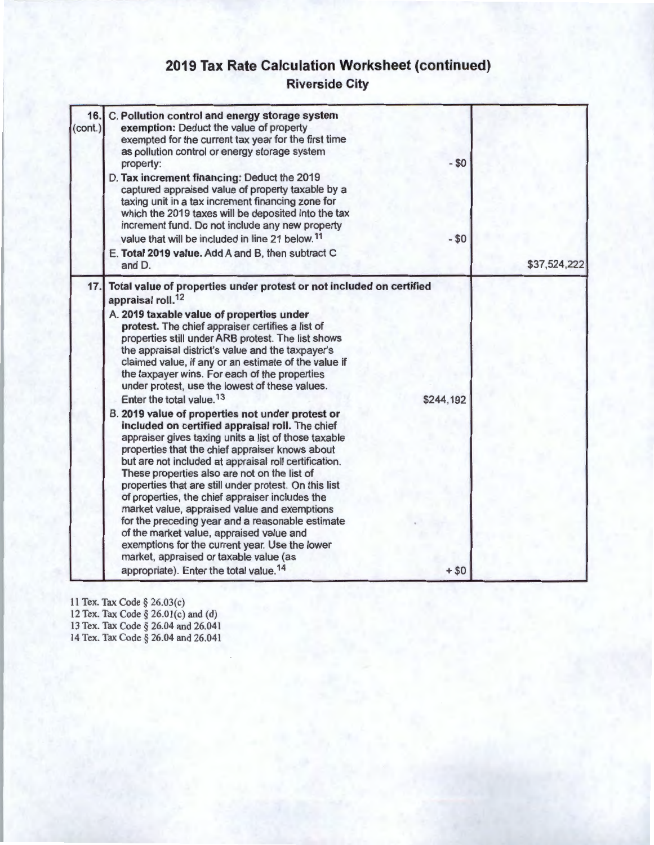## **2019 Tax Rate Calculation Worksheet (continued)**

### **Riverside City**

| 16.<br>(cont.) | C. Pollution control and energy storage system<br>exemption: Deduct the value of property<br>exempted for the current tax year for the first time<br>as pollution control or energy storage system<br>property:<br>D. Tax increment financing: Deduct the 2019<br>captured appraised value of property taxable by a<br>taxing unit in a tax increment financing zone for<br>which the 2019 taxes will be deposited into the tax<br>increment fund. Do not include any new property<br>value that will be included in line 21 below. <sup>11</sup><br>E. Total 2019 value. Add A and B, then subtract C<br>and D.                                                                                                                                                                                                                                                                                                                                                                                                                                                                                                                                                                                                                                              | $-50$<br>$- $0$     | \$37,524,222 |
|----------------|---------------------------------------------------------------------------------------------------------------------------------------------------------------------------------------------------------------------------------------------------------------------------------------------------------------------------------------------------------------------------------------------------------------------------------------------------------------------------------------------------------------------------------------------------------------------------------------------------------------------------------------------------------------------------------------------------------------------------------------------------------------------------------------------------------------------------------------------------------------------------------------------------------------------------------------------------------------------------------------------------------------------------------------------------------------------------------------------------------------------------------------------------------------------------------------------------------------------------------------------------------------|---------------------|--------------|
| 17.            | Total value of properties under protest or not included on certified<br>appraisal roll. <sup>12</sup><br>A. 2019 taxable value of properties under<br>protest. The chief appraiser certifies a list of<br>properties still under ARB protest. The list shows<br>the appraisal district's value and the taxpayer's<br>claimed value, if any or an estimate of the value if<br>the taxpayer wins. For each of the properties<br>under protest, use the lowest of these values.<br>Enter the total value. <sup>13</sup><br>B. 2019 value of properties not under protest or<br>included on certified appraisal roll. The chief<br>appraiser gives taxing units a list of those taxable<br>properties that the chief appraiser knows about<br>but are not included at appraisal roll certification.<br>These properties also are not on the list of<br>properties that are still under protest. On this list<br>of properties, the chief appraiser includes the<br>market value, appraised value and exemptions<br>for the preceding year and a reasonable estimate<br>of the market value, appraised value and<br>exemptions for the current year. Use the lower<br>market, appraised or taxable value (as<br>appropriate). Enter the total value. <sup>14</sup> | \$244,192<br>$+ $0$ |              |

11 Tex. Tax Code§ 26.03(c) 12 Tex. Tax Code§ 26.0l(c) and (d) 13 Tex. Tax Code § 26.04 and 26.041 14 Tex. Tax Code§ 26.04 and 26.041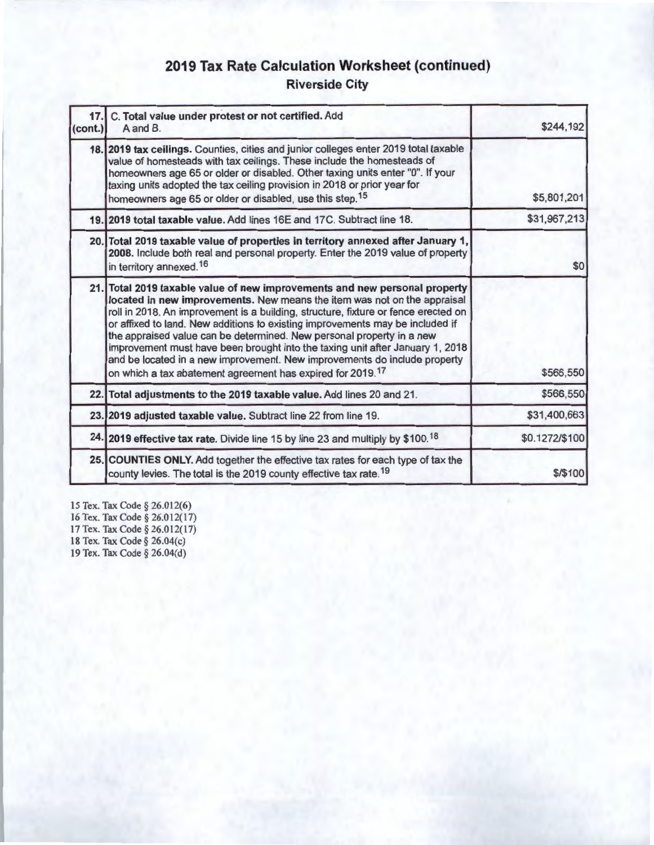### **2019 Tax Rate Calculation Worksheet (continued) Riverside City**

| 17.1<br>(cont.) | C. Total value under protest or not certified. Add<br>A and B.                                                                                                                                                                                                                                                                                                                                                                                                                                                                                                                                                                                 | \$244,192      |
|-----------------|------------------------------------------------------------------------------------------------------------------------------------------------------------------------------------------------------------------------------------------------------------------------------------------------------------------------------------------------------------------------------------------------------------------------------------------------------------------------------------------------------------------------------------------------------------------------------------------------------------------------------------------------|----------------|
|                 | 18. 2019 tax ceilings. Counties, cities and junior colleges enter 2019 total taxable<br>value of homesteads with tax ceilings. These include the homesteads of<br>homeowners age 65 or older or disabled. Other taxing units enter "0". If your<br>taxing units adopted the tax ceiling provision in 2018 or prior year for<br>homeowners age 65 or older or disabled, use this step. <sup>15</sup>                                                                                                                                                                                                                                            | \$5,801,201    |
|                 | 19. 2019 total taxable value. Add lines 16E and 17C. Subtract line 18.                                                                                                                                                                                                                                                                                                                                                                                                                                                                                                                                                                         | \$31,967,213   |
|                 | 20. Total 2019 taxable value of properties in territory annexed after January 1,<br>2008. Include both real and personal property. Enter the 2019 value of property<br>in territory annexed. <sup>16</sup>                                                                                                                                                                                                                                                                                                                                                                                                                                     | \$0            |
|                 | 21. Total 2019 taxable value of new improvements and new personal property<br>located in new improvements. New means the item was not on the appraisal<br>roll in 2018. An improvement is a building, structure, fixture or fence erected on<br>or affixed to land. New additions to existing improvements may be included if<br>the appraised value can be determined. New personal property in a new<br>improvement must have been brought into the taxing unit after January 1, 2018<br>and be located in a new improvement. New improvements do include property<br>on which a tax abatement agreement has expired for 2019. <sup>17</sup> | \$566,550      |
|                 | 22. Total adjustments to the 2019 taxable value. Add lines 20 and 21.                                                                                                                                                                                                                                                                                                                                                                                                                                                                                                                                                                          | \$566,550      |
|                 | 23. 2019 adjusted taxable value. Subtract line 22 from line 19.                                                                                                                                                                                                                                                                                                                                                                                                                                                                                                                                                                                | \$31,400,663   |
|                 | 24. 2019 effective tax rate. Divide line 15 by line 23 and multiply by \$100. <sup>18</sup>                                                                                                                                                                                                                                                                                                                                                                                                                                                                                                                                                    | \$0.1272/\$100 |
|                 | 25. COUNTIES ONLY. Add together the effective tax rates for each type of tax the<br>county levies. The total is the 2019 county effective tax rate. <sup>19</sup>                                                                                                                                                                                                                                                                                                                                                                                                                                                                              | \$/\$100       |

15 Tex. Tax Code§ 26.012(6) 16 Tex. Tax Code§ 26.012(17) 17 Tex. Tax Code§ 26.012(17) 18 Tex. Tax Code§ 26.04(c) 19 Tex. Tax Code§ 26.04(d)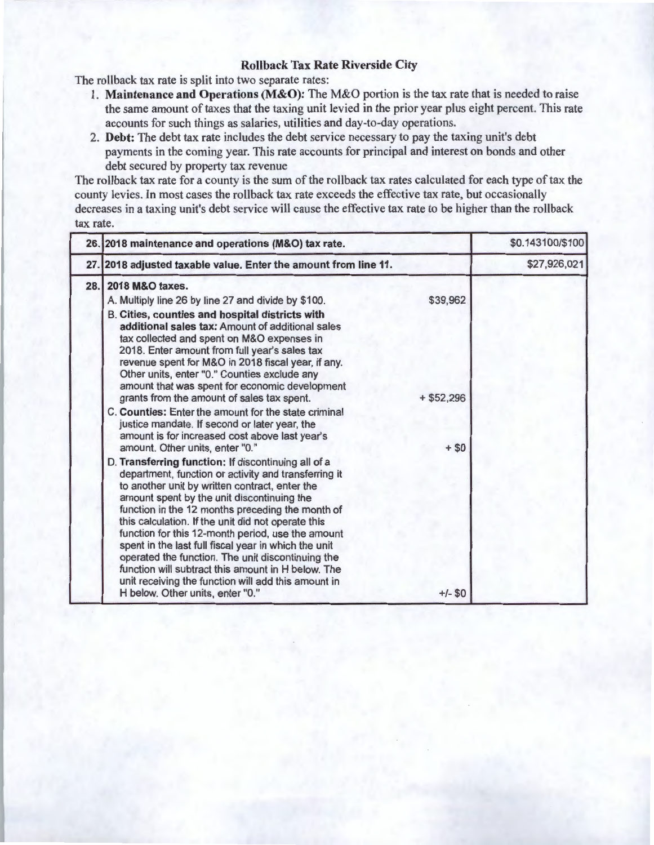#### **Rollback Tax Rate Riverside City**

The rollback tax rate is split into two separate rates:

- 1. **Maintenance and Operations (M&O):** The M&O portion is the tax rate that is needed to raise the same amount of taxes that the taxing unit levied in the prior year plus eight percent. This rate accounts for such things as salaries, utilities and day-to-day operations.
- 2. **Debt:** The debt tax rate includes the debt service necessary to pay the taxing unit's debt payments in the coming year. This rate accounts for principal and interest on bonds and other debt secured by property tax revenue

The rollback tax rate for a county is the sum of the rollback tax rates calculated for each type of tax the county levies. In most cases the rollback tax rate exceeds the effective tax rate, but occasionally decreases in a taxing unit's debt service will cause the effective tax rate to be higher than the rollback tax rate.

|      | 26. 2018 maintenance and operations (M&O) tax rate.                                                                                                                                                                                                                                                                                                                                                                                                                                                                                                                                                                                      |              | \$0.143100/\$100 |
|------|------------------------------------------------------------------------------------------------------------------------------------------------------------------------------------------------------------------------------------------------------------------------------------------------------------------------------------------------------------------------------------------------------------------------------------------------------------------------------------------------------------------------------------------------------------------------------------------------------------------------------------------|--------------|------------------|
|      | 27. 2018 adjusted taxable value. Enter the amount from line 11.                                                                                                                                                                                                                                                                                                                                                                                                                                                                                                                                                                          |              | \$27,926,021     |
| 28.1 | 2018 M&O taxes.<br>A. Multiply line 26 by line 27 and divide by \$100.                                                                                                                                                                                                                                                                                                                                                                                                                                                                                                                                                                   | \$39,962     |                  |
|      | B. Cities, counties and hospital districts with<br>additional sales tax: Amount of additional sales<br>tax collected and spent on M&O expenses in<br>2018. Enter amount from full year's sales tax<br>revenue spent for M&O in 2018 fiscal year, if any.<br>Other units, enter "0." Counties exclude any<br>amount that was spent for economic development<br>grants from the amount of sales tax spent.                                                                                                                                                                                                                                 | $+$ \$52,296 |                  |
|      | C. Counties: Enter the amount for the state criminal<br>justice mandate. If second or later year, the<br>amount is for increased cost above last year's<br>amount. Other units, enter "0."                                                                                                                                                                                                                                                                                                                                                                                                                                               | $+ $0$       |                  |
|      | D. Transferring function: If discontinuing all of a<br>department, function or activity and transferring it<br>to another unit by written contract, enter the<br>amount spent by the unit discontinuing the<br>function in the 12 months preceding the month of<br>this calculation. If the unit did not operate this<br>function for this 12-month period, use the amount<br>spent in the last full fiscal year in which the unit<br>operated the function. The unit discontinuing the<br>function will subtract this amount in H below. The<br>unit receiving the function will add this amount in<br>H below. Other units, enter "0." | $+/-$ \$0    |                  |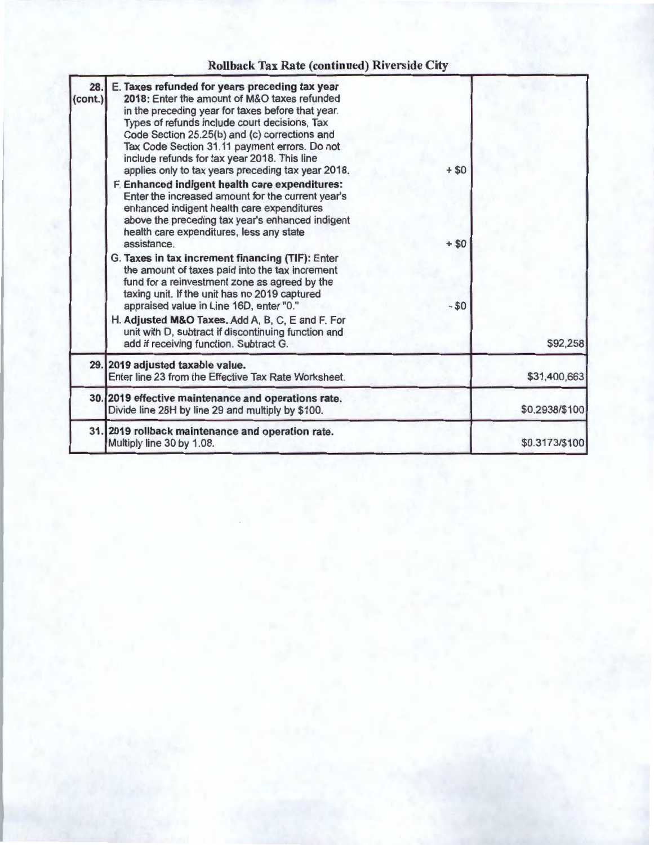### **Rollback Tax Rate (continued) Riverside City**

| 28.<br>$\left( \text{cont.} \right)$ | E. Taxes refunded for years preceding tax year<br>2018: Enter the amount of M&O taxes refunded<br>in the preceding year for taxes before that year.<br>Types of refunds include court decisions, Tax<br>Code Section 25.25(b) and (c) corrections and<br>Tax Code Section 31.11 payment errors. Do not<br>include refunds for tax year 2018. This line<br>applies only to tax years preceding tax year 2018.<br>F. Enhanced indigent health care expenditures:<br>Enter the increased amount for the current year's<br>enhanced indigent health care expenditures<br>above the preceding tax year's enhanced indigent<br>health care expenditures, less any state<br>assistance.<br>G. Taxes in tax increment financing (TIF): Enter<br>the amount of taxes paid into the tax increment<br>fund for a reinvestment zone as agreed by the<br>taxing unit. If the unit has no 2019 captured<br>appraised value in Line 16D, enter "0."<br>H. Adjusted M&O Taxes. Add A, B, C, E and F. For<br>unit with D, subtract if discontinuing function and | $+ $0$<br>$+ $0$<br>$- $0$ |                |
|--------------------------------------|-------------------------------------------------------------------------------------------------------------------------------------------------------------------------------------------------------------------------------------------------------------------------------------------------------------------------------------------------------------------------------------------------------------------------------------------------------------------------------------------------------------------------------------------------------------------------------------------------------------------------------------------------------------------------------------------------------------------------------------------------------------------------------------------------------------------------------------------------------------------------------------------------------------------------------------------------------------------------------------------------------------------------------------------------|----------------------------|----------------|
|                                      | add if receiving function. Subtract G.                                                                                                                                                                                                                                                                                                                                                                                                                                                                                                                                                                                                                                                                                                                                                                                                                                                                                                                                                                                                          |                            | \$92,258       |
|                                      | 29. 2019 adjusted taxable value.<br>Enter line 23 from the Effective Tax Rate Worksheet.                                                                                                                                                                                                                                                                                                                                                                                                                                                                                                                                                                                                                                                                                                                                                                                                                                                                                                                                                        |                            | \$31,400,663   |
|                                      | 30. 2019 effective maintenance and operations rate.<br>Divide line 28H by line 29 and multiply by \$100.                                                                                                                                                                                                                                                                                                                                                                                                                                                                                                                                                                                                                                                                                                                                                                                                                                                                                                                                        |                            | \$0.2938/\$100 |
|                                      | 31. 2019 rollback maintenance and operation rate.<br>Multiply line 30 by 1.08.                                                                                                                                                                                                                                                                                                                                                                                                                                                                                                                                                                                                                                                                                                                                                                                                                                                                                                                                                                  |                            | \$0.3173/\$100 |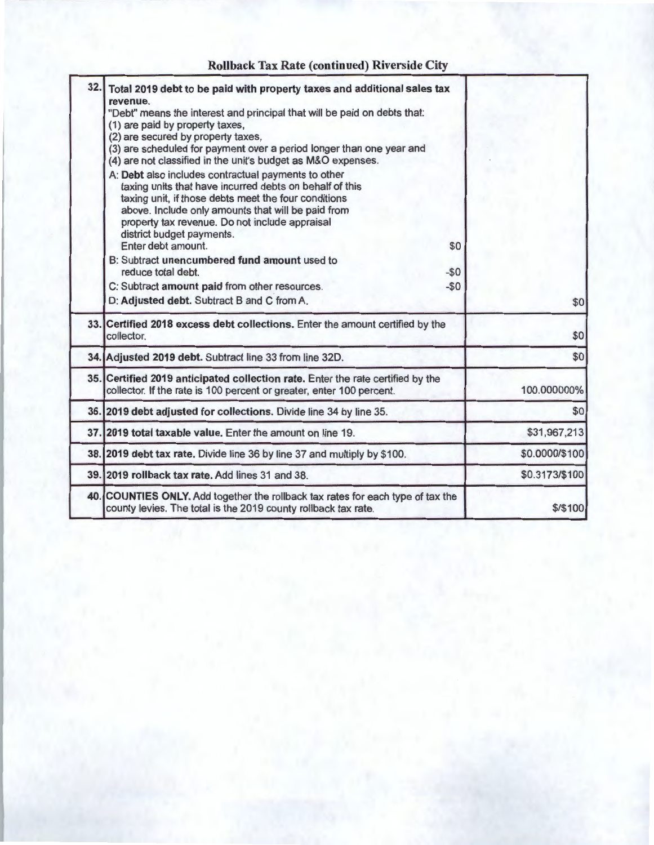### **Rollback Tax Rate (continued) Riverside City**

| 32.1 | Total 2019 debt to be paid with property taxes and additional sales tax<br>revenue.<br>"Debt" means the interest and principal that will be paid on debts that:<br>(1) are paid by property taxes,<br>(2) are secured by property taxes,<br>(3) are scheduled for payment over a period longer than one year and<br>(4) are not classified in the unit's budget as M&O expenses.<br>A: Debt also includes contractual payments to other<br>taxing units that have incurred debts on behalf of this<br>taxing unit, if those debts meet the four conditions<br>above. Include only amounts that will be paid from<br>property tax revenue. Do not include appraisal |                |
|------|--------------------------------------------------------------------------------------------------------------------------------------------------------------------------------------------------------------------------------------------------------------------------------------------------------------------------------------------------------------------------------------------------------------------------------------------------------------------------------------------------------------------------------------------------------------------------------------------------------------------------------------------------------------------|----------------|
|      | district budget payments.<br>Enter debt amount.<br>\$0<br>B: Subtract unencumbered fund amount used to<br>reduce total debt.<br>$-50$<br>C: Subtract amount paid from other resources.<br>$-50$                                                                                                                                                                                                                                                                                                                                                                                                                                                                    |                |
|      | D: Adjusted debt. Subtract B and C from A.                                                                                                                                                                                                                                                                                                                                                                                                                                                                                                                                                                                                                         | \$0            |
|      | 33. Certified 2018 excess debt collections. Enter the amount certified by the<br>collector.                                                                                                                                                                                                                                                                                                                                                                                                                                                                                                                                                                        | \$0            |
|      | 34. Adjusted 2019 debt. Subtract line 33 from line 32D.                                                                                                                                                                                                                                                                                                                                                                                                                                                                                                                                                                                                            | \$0            |
|      | 35. Certified 2019 anticipated collection rate. Enter the rate certified by the<br>collector. If the rate is 100 percent or greater, enter 100 percent.                                                                                                                                                                                                                                                                                                                                                                                                                                                                                                            | 100.000000%    |
|      | 36. 2019 debt adjusted for collections. Divide line 34 by line 35.                                                                                                                                                                                                                                                                                                                                                                                                                                                                                                                                                                                                 | \$0            |
|      | 37. 2019 total taxable value. Enter the amount on line 19.                                                                                                                                                                                                                                                                                                                                                                                                                                                                                                                                                                                                         | \$31,967,213   |
|      | 38. 2019 debt tax rate. Divide line 36 by line 37 and multiply by \$100.                                                                                                                                                                                                                                                                                                                                                                                                                                                                                                                                                                                           | \$0.0000/\$100 |
|      | 39. 2019 rollback tax rate. Add lines 31 and 38.                                                                                                                                                                                                                                                                                                                                                                                                                                                                                                                                                                                                                   | \$0.3173/\$100 |
|      | 40. COUNTIES ONLY. Add together the rollback tax rates for each type of tax the<br>county levies. The total is the 2019 county rollback tax rate.                                                                                                                                                                                                                                                                                                                                                                                                                                                                                                                  | $$$ / $$$ 100  |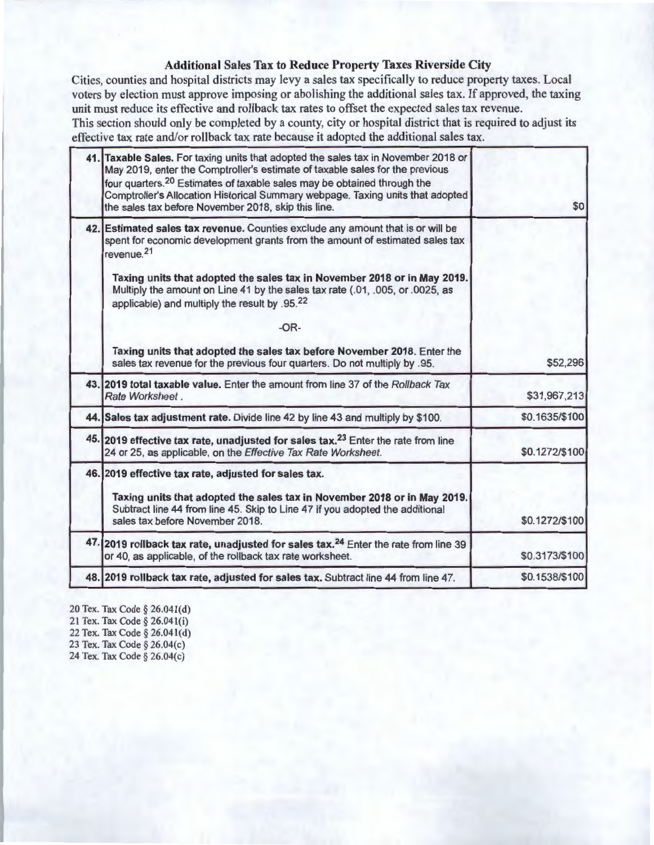#### **Additional Sales Tax to Reduce Property Taxes Riverside City**

Cities, counties and hospital districts may levy a sales tax specifically to reduce property taxes. Local voters by election must approve imposing or abolishing the additional sales tax. If approved, the taxing unit must reduce its effective and rollback tax rates to offset the expected sales tax revenue. This section should only be completed by a county, city or hospital district that is required to adjust its effective tax rate and/or rollback tax rate because it adopted the additional sales tax.

| 41. Taxable Sales. For taxing units that adopted the sales tax in November 2018 or<br>May 2019, enter the Comptroller's estimate of taxable sales for the previous<br>four quarters. <sup>20</sup> Estimates of taxable sales may be obtained through the<br>Comptroller's Allocation Historical Summary webpage. Taxing units that adopted<br>the sales tax before November 2018, skip this line.                | \$0            |
|-------------------------------------------------------------------------------------------------------------------------------------------------------------------------------------------------------------------------------------------------------------------------------------------------------------------------------------------------------------------------------------------------------------------|----------------|
| 42. Estimated sales tax revenue. Counties exclude any amount that is or will be<br>spent for economic development grants from the amount of estimated sales tax<br>revenue. <sup>21</sup><br>Taxing units that adopted the sales tax in November 2018 or in May 2019.<br>Multiply the amount on Line 41 by the sales tax rate (.01, .005, or .0025, as<br>applicable) and multiply the result by .95.22<br>$-OR-$ |                |
| Taxing units that adopted the sales tax before November 2018. Enter the<br>sales tax revenue for the previous four quarters. Do not multiply by .95.                                                                                                                                                                                                                                                              | \$52,296       |
| 43. 2019 total taxable value. Enter the amount from line 37 of the Rollback Tax<br>Rate Worksheet.                                                                                                                                                                                                                                                                                                                | \$31,967,213   |
| 44. Sales tax adjustment rate. Divide line 42 by line 43 and multiply by \$100.                                                                                                                                                                                                                                                                                                                                   | \$0.1635/\$100 |
| 45. 2019 effective tax rate, unadjusted for sales tax. <sup>23</sup> Enter the rate from line<br>24 or 25, as applicable, on the Effective Tax Rate Worksheet.                                                                                                                                                                                                                                                    | \$0.1272/\$100 |
| 46. 2019 effective tax rate, adjusted for sales tax.<br>Taxing units that adopted the sales tax in November 2018 or in May 2019.<br>Subtract line 44 from line 45. Skip to Line 47 if you adopted the additional<br>sales tax before November 2018.                                                                                                                                                               | \$0.1272/\$100 |
| 47. 2019 rollback tax rate, unadjusted for sales tax. <sup>24</sup> Enter the rate from line 39<br>or 40, as applicable, of the rollback tax rate worksheet.                                                                                                                                                                                                                                                      | \$0.3173/\$100 |
| 48. 2019 rollback tax rate, adjusted for sales tax. Subtract line 44 from line 47.                                                                                                                                                                                                                                                                                                                                | \$0.1538/\$100 |
|                                                                                                                                                                                                                                                                                                                                                                                                                   |                |

20 Tex. Tax Code § 26.041(d) 21 Tex. Tax Code§ 26.041(i) 22 Tex. Tax Code§ 26.04l(d) 23 Tex. Tax Code§ 26.04(c) 24 Tex. Tax Code§ 26.04(c)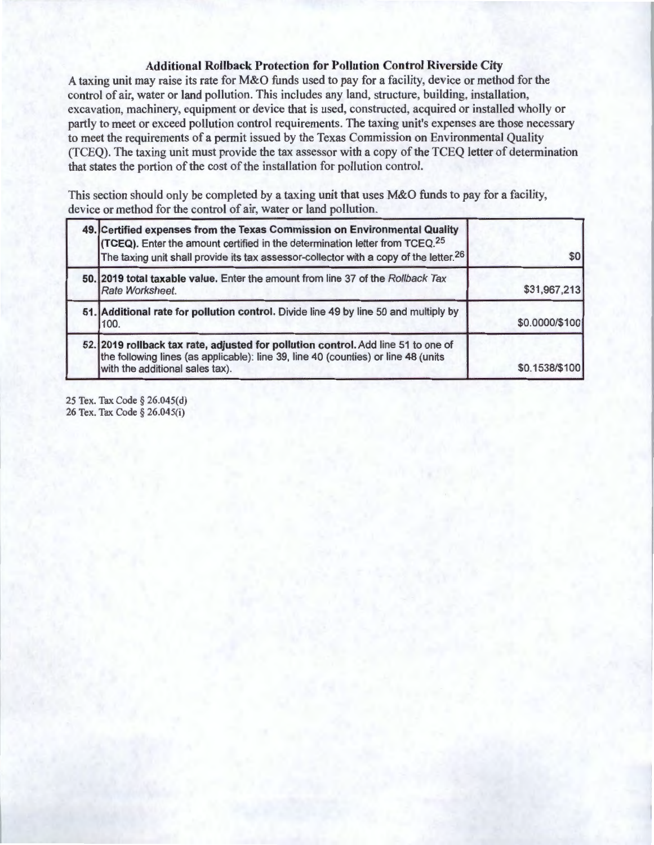#### **Additional Rollback Protection for Pollution Control Riverside City**

A taxing unit may raise its rate for M&O funds used to pay for a facility, device or method for the control of air, water or land pollution. This includes any land, structure, building, installation, excavation, machinery, equipment or device that is used, constructed, acquired or installed wholly or partly to meet or exceed pollution control requirements. The taxing unit's expenses are those necessary to meet the requirements of a permit issued by the Texas Commission on Environmental Quality (TCEQ). The taxing unit must provide the tax assessor with a copy of the TCEQ letter of determination that states the portion of the cost of the installation for pollution control.

This section should only be completed by a taxing unit that uses M&O funds to pay for a facility, device or method for the control of air, water or land pollution.

| 49. Certified expenses from the Texas Commission on Environmental Quality<br>(TCEQ). Enter the amount certified in the determination letter from TCEQ. <sup>25</sup><br>The taxing unit shall provide its tax assessor-collector with a copy of the letter. <sup>26</sup> | \$0            |
|---------------------------------------------------------------------------------------------------------------------------------------------------------------------------------------------------------------------------------------------------------------------------|----------------|
| 50. 2019 total taxable value. Enter the amount from line 37 of the Rollback Tax<br>Rate Worksheet.                                                                                                                                                                        | \$31,967,213   |
| 51. Additional rate for pollution control. Divide line 49 by line 50 and multiply by<br>100.                                                                                                                                                                              | \$0.0000/\$100 |
| 52. 2019 rollback tax rate, adjusted for pollution control. Add line 51 to one of<br>the following lines (as applicable): line 39, line 40 (counties) or line 48 (units<br>with the additional sales tax).                                                                | \$0.1538/\$100 |

25 Tex. Tax Code§ 26.045(d) 26 Tex. Tax Code § 26.045(i)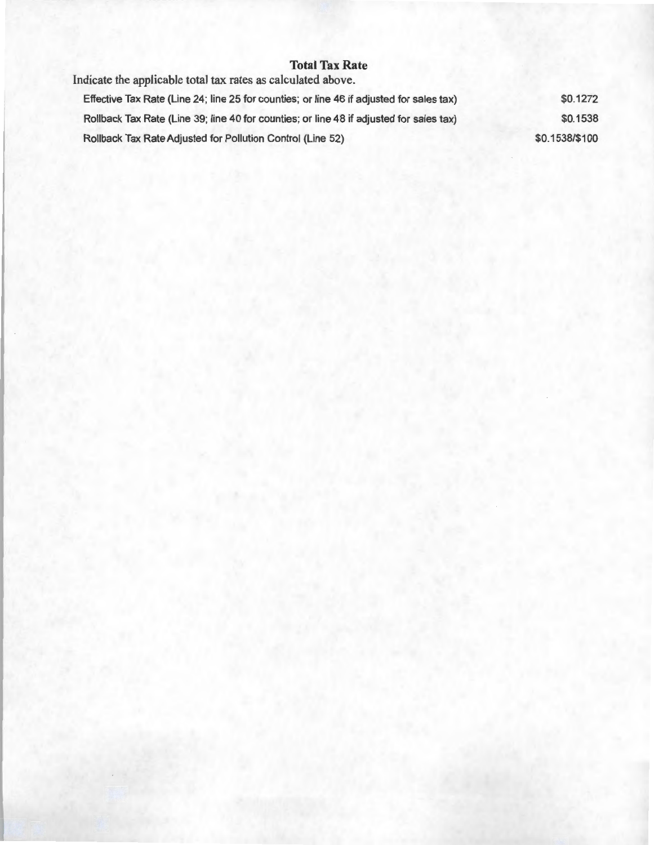#### **Total Tax Rate**

Indicate the applicable total tax rates as calculated above.

| Effective Tax Rate (Line 24; line 25 for counties; or line 46 if adjusted for sales tax) | \$0.1272       |
|------------------------------------------------------------------------------------------|----------------|
| Rollback Tax Rate (Line 39; line 40 for counties; or line 48 if adjusted for sales tax)  | \$0.1538       |
| Rollback Tax Rate Adjusted for Pollution Control (Line 52)                               | \$0.1538/\$100 |